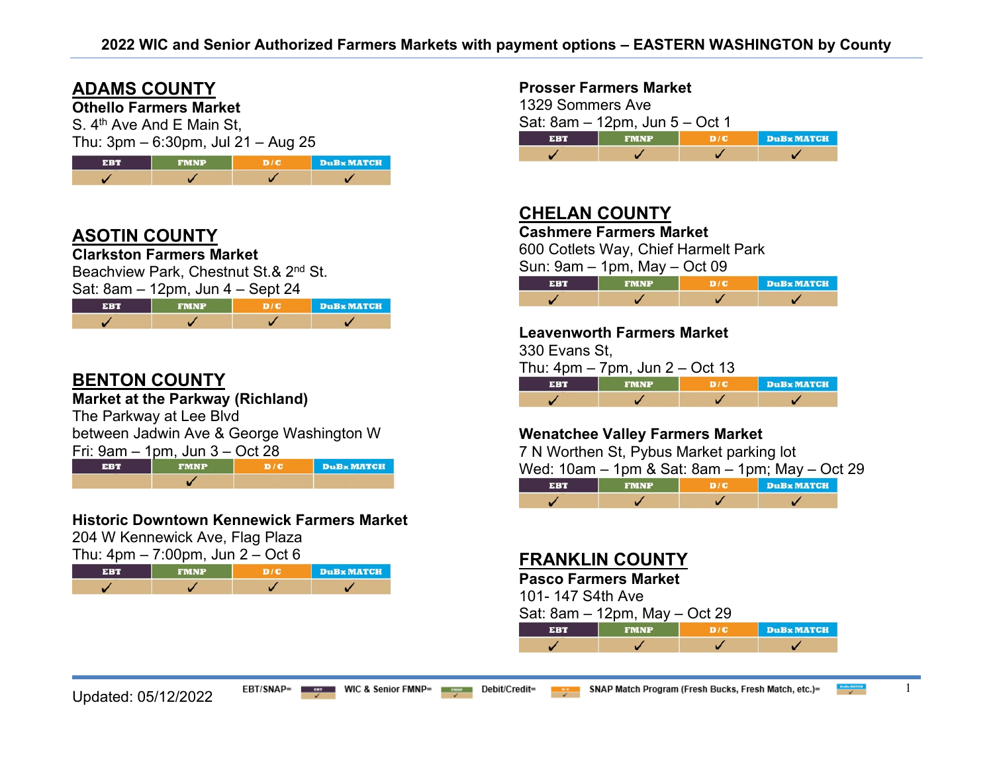# **ADAMS COUNTY**

**Othello Farmers Market**

S. 4<sup>th</sup> Ave And E Main St.  $T$ hu: 3pm – 6:30pm, Jul 21 – Aug 25

|            | $1119.$ Optit 0.00 pm, 0 at 2 i $119.$ Kg $20$ |     |            |  |
|------------|------------------------------------------------|-----|------------|--|
| <b>EBT</b> | <b>FMNP</b>                                    | D/C | DuBx MATCH |  |
|            |                                                |     |            |  |

# **ASOTIN COUNTY**

**Clarkston Farmers Market**

Beachview Park, Chestnut St.& 2<sup>nd</sup> St.

| Sat: $8am - 12pm$ , Jun $4 - Sept 24$ |
|---------------------------------------|
|---------------------------------------|

| <b>EBT</b> | <b>TIMNP.</b> | <b>DuB</b> <sub>x</sub> MATCH |
|------------|---------------|-------------------------------|
|            |               |                               |

## **BENTON COUNTY**

**Market at the Parkway (Richland)**

The Parkway at Lee Blvd

between Jadwin Ave & George Washington W

EBT **FMNP**  $D/C$ **DuBx MATCH**  $\checkmark$ 

## **Historic Downtown Kennewick Farmers Market**

204 W Kennewick Ave, Flag Plaza

| Thu: $4pm - 7:00pm$ , Jun $2 - Oct 6$ |             |                 |           |
|---------------------------------------|-------------|-----------------|-----------|
| <b>EBT</b>                            | <b>FMNP</b> | <b>THE REAL</b> | DuBx MATC |
|                                       |             |                 |           |

| <b>Prosser Farmers Market</b> |  |
|-------------------------------|--|
|-------------------------------|--|

| 1329 Sommers Ave |                                |     |                  |
|------------------|--------------------------------|-----|------------------|
|                  | Sat: 8am - 12pm, Jun 5 - Oct 1 |     |                  |
| <b>EBT</b>       | <b>FMNP</b>                    | D/E | <b>DuBxMATCH</b> |
|                  |                                |     |                  |

# **CHELAN COUNTY**

**Cashmere Farmers Market**

600 Cotlets Way, Chief Harmelt Park

Sun: 9am – 1pm, May – Oct 09

| <b>PU</b> | <b>FMNP</b> | DuBx MATCH |
|-----------|-------------|------------|
|           |             |            |

### **Leavenworth Farmers Market**

330 Evans St,

Thu:  $4pm - 7pm$ , Jun  $2 - Oct$  13

| <b>SER</b> | <b>FMNP</b> | DuBx MATCH |
|------------|-------------|------------|
|            |             |            |

## **Wenatchee Valley Farmers Market**

7 N Worthen St, Pybus Market parking lot

Wed: 10am – 1pm & Sat: 8am – 1pm; May – Oct 29

| <b>TELES</b> |  | <b>DuBx MATCH</b> |
|--------------|--|-------------------|
|              |  |                   |

## **FRANKLIN COUNTY**

## **Pasco Farmers Market**

101- 147 S4th Ave

| Sat: 8am – 12pm, May – Oct 29 |  |  |  |
|-------------------------------|--|--|--|
|-------------------------------|--|--|--|

| <b>THAND</b> | DuBx MATCH |
|--------------|------------|
|              |            |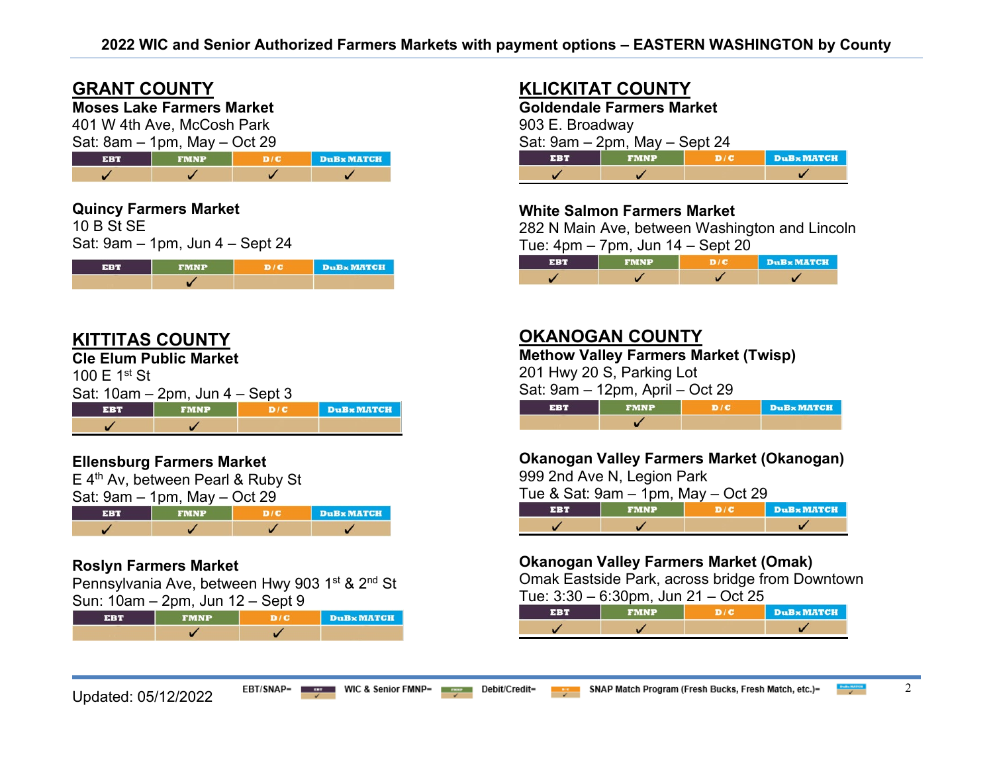# **GRANT COUNTY**

# **Moses Lake Farmers Market**

401 W 4th Ave, McCosh Park  $Sat: 8am = 1nm$  May  $=$  Oct 29

| $\theta$ oals $\theta$ is the state of $\theta$ is the state of $\theta$ |             |  |            |  |
|--------------------------------------------------------------------------|-------------|--|------------|--|
| <b>FBT</b>                                                               | <b>FMNP</b> |  | DuBx MATCH |  |
|                                                                          |             |  |            |  |

# **Quincy Farmers Market**

10 B St SE Sat: 9am – 1pm, Jun 4 – Sept 24

| $-30.369$ | <b>FMNP</b> | <b>DuB</b> MATCH |
|-----------|-------------|------------------|
|           |             |                  |

## **KITTITAS COUNTY**

**Cle Elum Public Market**

100 E 1st St

| Sat: 10am – 2pm, Jun 4 – Sept 3 |  |
|---------------------------------|--|
|                                 |  |

| TND | <b>DuB</b> MATCH |
|-----|------------------|
|     |                  |

## **Ellensburg Farmers Market**

E 4th Av, between Pearl & Ruby St

| Sat: $9am - 1pm$ , May $-$ Oct 29 |  |  |
|-----------------------------------|--|--|
|                                   |  |  |



## **Roslyn Farmers Market**

Pennsylvania Ave, between Hwy 903 1<sup>st</sup> & 2<sup>nd</sup> St Sun: 10am – 2pm, Jun 12 – Sept 9

|  | <b>DuB</b> <sub>x</sub> MATCH |
|--|-------------------------------|
|  |                               |

# **KLICKITAT COUNTY**

**Goldendale Farmers Market** 903 E. Broadway Sat: 9am – 2pm, May – Sept 24 **EBT FMNP**  $D/C$ **DuB**x MATCH  $\checkmark$  $\checkmark$ ✓

## **White Salmon Farmers Market**

282 N Main Ave, between Washington and Lincoln Tue:  $4 \text{nm} - 7 \text{nm}$ , Jun  $14 -$  Sept  $20$ 

|            |      | $- - - -$ |                   |
|------------|------|-----------|-------------------|
| <b>ERT</b> | FMNP |           | <b>DuBx MATCH</b> |
|            |      |           |                   |

# **OKANOGAN COUNTY**

**Methow Valley Farmers Market (Twisp)** 

201 Hwy 20 S, Parking Lot

Sat: 9am – 12pm, April – Oct 29

| FMND | DuBx MATCH |
|------|------------|
|      |            |

## **Okanogan Valley Farmers Market (Okanogan)**

999 2nd Ave N, Legion Park

Tue & Sat: 9am – 1pm, May – Oct 29

|  | . | <b>DuBx MATCH</b> |
|--|---|-------------------|
|  |   |                   |

## **Okanogan Valley Farmers Market (Omak)**

Omak Eastside Park, across bridge from Downtown

Tue: 3:30 – 6:30pm, Jun 21 – Oct 25

|  | <b>DuBx MATCH</b> |
|--|-------------------|
|  |                   |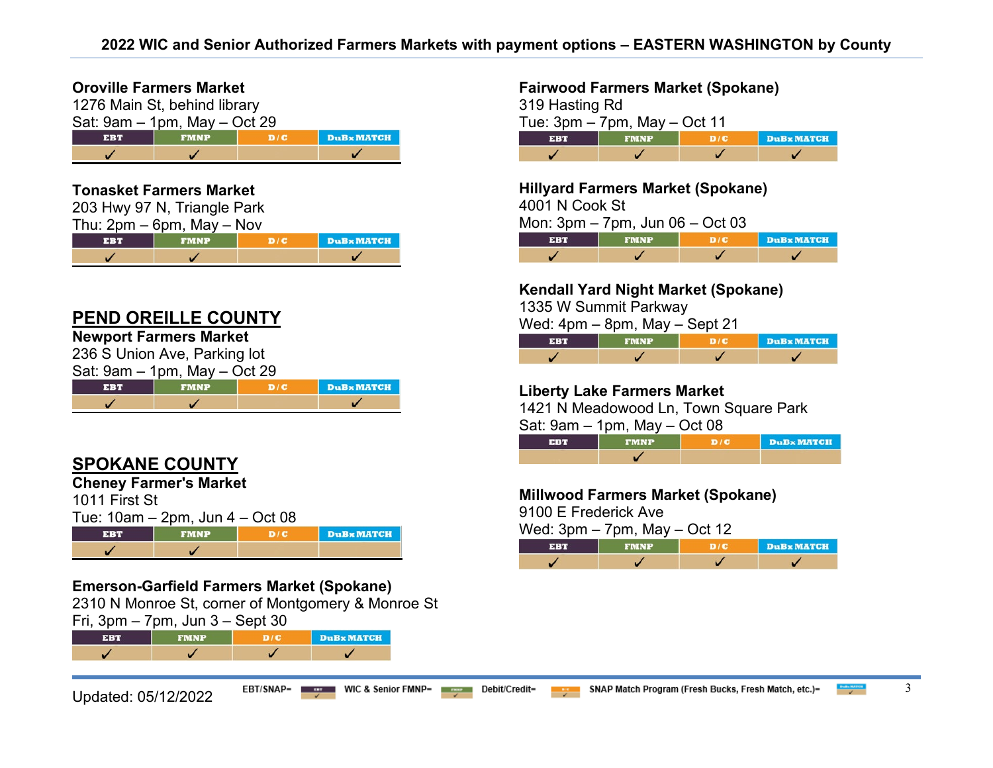## **Oroville Farmers Market**

| 1276 Main St, behind library                          |  |  |  |  |  |
|-------------------------------------------------------|--|--|--|--|--|
| Sat: $9am - 1pm$ , May $-$ Oct 29                     |  |  |  |  |  |
| <b>DuBx MATCH</b><br>D/C<br><b>EBT</b><br><b>FMNP</b> |  |  |  |  |  |
|                                                       |  |  |  |  |  |

## **Tonasket Farmers Market**

|     | 203 Hwy 97 N, Triangle Park    |     |          |
|-----|--------------------------------|-----|----------|
|     | Thu: $2pm - 6pm$ , May $-$ Nov |     |          |
| EBT | <b>FMNP</b>                    | D/C | DuBx MAT |
|     |                                |     |          |

## **PEND OREILLE COUNTY**

# **Newport Farmers Market**

236 S Union Ave, Parking lot  $Sat: 9am = 1nm$  May  $=$  Oct 29

| $\alpha$ . Salli – Tplii, May – Oct 29 |      |  |                  |  |
|----------------------------------------|------|--|------------------|--|
|                                        | FMNP |  | <b>DuBxMATCH</b> |  |
|                                        |      |  |                  |  |

# **SPOKANE COUNTY**

**Cheney Farmer's Market** 

| 1011 First St |                                      |     |          |
|---------------|--------------------------------------|-----|----------|
|               | Tue: $10am - 2pm$ , Jun $4 - Oct 08$ |     |          |
| <b>EBT</b>    | <b>FMNP</b>                          | D/C | DuBx MAT |
|               |                                      |     |          |

## **Emerson-Garfield Farmers Market (Spokane)**

2310 N Monroe St, corner of Montgomery & Monroe St Fri, 3pm – 7pm, Jun 3 – Sept 30

EBT **FMNP**  $D/C$ **DuBx MATCH**  $\checkmark$  $\checkmark$ ✓  $\checkmark$ 

## **Fairwood Farmers Market (Spokane)**

| 319 Hasting Rd |                                   |     |            |  |  |
|----------------|-----------------------------------|-----|------------|--|--|
|                | Tue: $3pm - 7pm$ , May $-$ Oct 11 |     |            |  |  |
| <b>EBT</b>     | <b>FMNP</b>                       | D/C | DuBx MATCH |  |  |
|                |                                   |     |            |  |  |

**Hillyard Farmers Market (Spokane)** 

4001 N Cook St

Mon: 3pm – 7pm, Jun 06 – Oct 03

| $-31.41$ | <b>FMNP</b> | DuBx MATCH |
|----------|-------------|------------|
|          |             |            |

## **Kendall Yard Night Market (Spokane)**

1335 W Summit Parkway

Wed: 4pm – 8pm, May – Sept 21

| <b>EBT</b> | <b>FMNP</b> | DuBx MATCH |
|------------|-------------|------------|
|            |             |            |

## **Liberty Lake Farmers Market**

1421 N Meadowood Ln, Town Square Park

Sat: 9am – 1pm, May – Oct 08

| <b>EBT</b> | <b>FMNP</b> | DIG | DuBx MATCH |
|------------|-------------|-----|------------|
|            |             |     |            |

## **Millwood Farmers Market (Spokane)**

9100 E Frederick Ave

Wed: 3pm – 7pm, May – Oct 12

|  | <b>DuB</b> MATCH |
|--|------------------|
|  |                  |

**CH** 

m.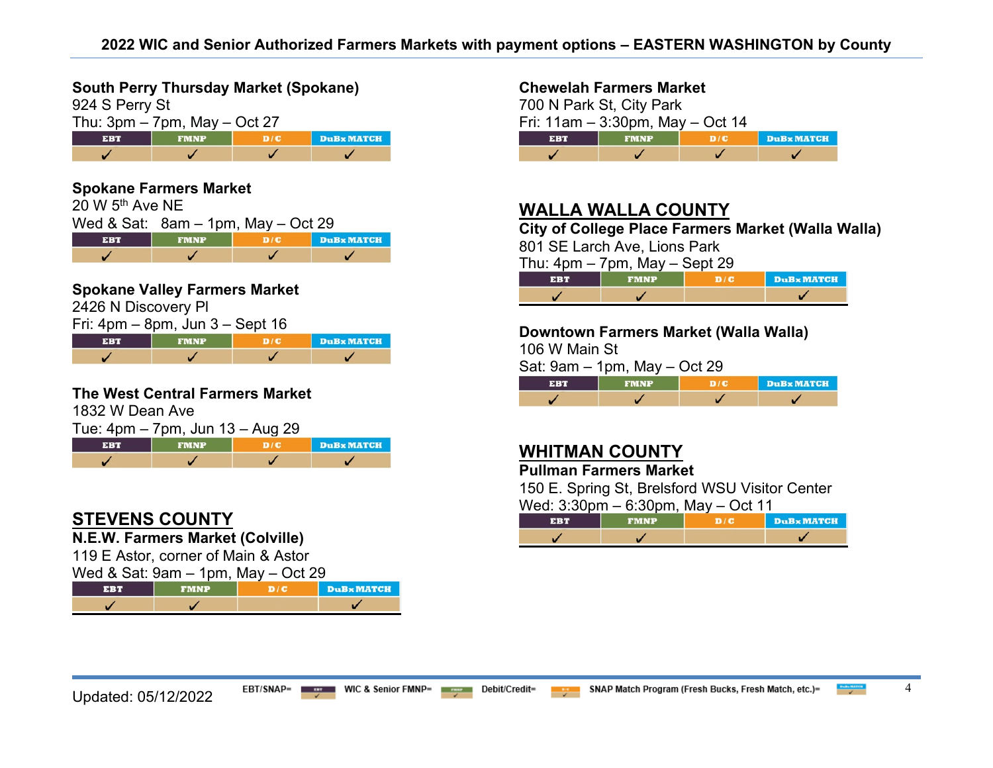**South Perry Thursday Market (Spokane)** 

| 924 S Perry St                    |             |     |                   |
|-----------------------------------|-------------|-----|-------------------|
| Thu: $3pm - 7pm$ , May $-$ Oct 27 |             |     |                   |
| <b>EBT</b>                        | <b>FMNP</b> | D/C | <b>DuBx MATCH</b> |
|                                   |             |     |                   |

#### **Spokane Farmers Market**  20 W 5th Ave NE Wed & Sat: 8am – 1pm, May – Oct 29 FMNP **DuBx MATCH EBT**  $D/C$  $\checkmark$ ✓  $\checkmark$  $\checkmark$

## **Spokane Valley Farmers Market**

2426 N Discovery Pl

| Fri: $4$ pm $-$ 8pm, Jun $3 -$ Sept 16 |             |  |            |  |
|----------------------------------------|-------------|--|------------|--|
| EBT                                    | <b>FMNP</b> |  | DuBx MATCH |  |
|                                        |             |  |            |  |

#### **The West Central Farmers Market**

1832 W Dean Ave

| Tue: 4pm – 7pm, Jun 13 – Aug 29 |             |  |            |  |
|---------------------------------|-------------|--|------------|--|
| <b>EBT</b>                      | <b>FMNP</b> |  | DuBx MATCH |  |
|                                 |             |  |            |  |

# **STEVENS COUNTY**

**N.E.W. Farmers Market (Colville)**

119 E Astor, corner of Main & Astor

Wed & Sat: 9am – 1pm, May – Oct 29

|  | <b>DuBx MATCH</b> |
|--|-------------------|
|  |                   |

### **Chewelah Farmers Market**

700 N Park St, City Park Fri: 11am – 3:30pm, May – Oct 14 **EBT**  $D/C$ **DuB** MATCH ✓ V  $\overline{\mathscr{L}}$  $\overline{\mathscr{L}}$ 

# **WALLA WALLA COUNTY**

**City of College Place Farmers Market (Walla Walla)** 

801 SE Larch Ave, Lions Park

Thu:  $4$ pm – 7pm, May – Sept 29

| $\sim$ | <b>DuB</b> <sub>x</sub> MATCH |
|--------|-------------------------------|
|        |                               |

#### **Downtown Farmers Market (Walla Walla)**

106 W Main St

Sat: 9am – 1pm, May – Oct 29

|  | <b>DuBx MATCH</b> |
|--|-------------------|
|  |                   |

# **WHITMAN COUNTY**

**Pullman Farmers Market** 

150 E. Spring St, Brelsford WSU Visitor Center  $W_{\text{old}}$ : 3:30pm,  $\alpha$ :30pm,  $M_{\text{old}}$ ,  $\alpha$ +44

| $\alpha$ and $\alpha$ . Supply $\alpha$ - $\alpha$ - $\alpha$ - $\alpha$ - $\alpha$ - $\alpha$ - $\alpha$ - $\alpha$ - $\alpha$ - $\alpha$ - $\alpha$ - $\alpha$ - $\alpha$ - $\alpha$ - $\alpha$ - $\alpha$ - $\alpha$ - $\alpha$ - $\alpha$ - $\alpha$ - $\alpha$ - $\alpha$ - $\alpha$ - $\alpha$ - $\alpha$ - $\alpha$ - $\alpha$ - $\alpha$ - $\$ |             |  |            |
|--------------------------------------------------------------------------------------------------------------------------------------------------------------------------------------------------------------------------------------------------------------------------------------------------------------------------------------------------------|-------------|--|------------|
| EBT                                                                                                                                                                                                                                                                                                                                                    | <b>FMNP</b> |  | DuBx MATCH |
|                                                                                                                                                                                                                                                                                                                                                        |             |  |            |